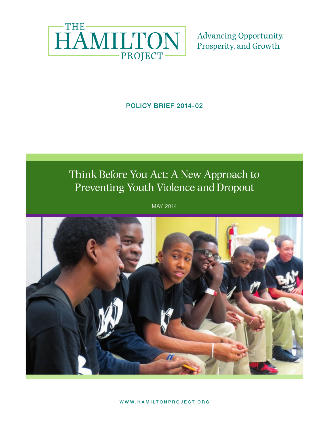

**Advancing Opportunity,** Prosperity, and Growth

### POLICY BRIEF 2014-02

# Think Before You Act: A New Approach to Preventing Youth Violence and Dropout

POLICY BRIEF 2011-02 | MAY 2011 MAY 2014

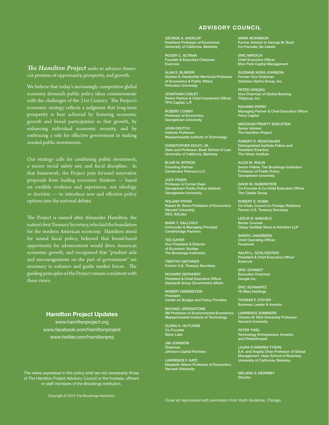#### ADVISORY COUNCIL

*The Hamilton Project* seeks to advance America's promise of opportunity, prosperity, and growth.

We believe that today's increasingly competitive global economy demands public policy ideas commensurate with the challenges of the 21st Century. The Project's economic strategy reflects a judgment that long-term prosperity is best achieved by fostering economic growth and broad participation in that growth, by enhancing individual economic security, and by embracing a role for effective government in making needed public investments.

Our strategy calls for combining public investment, a secure social safety net, and fiscal discipline. In that framework, the Project puts forward innovative proposals from leading economic thinkers — based on credible evidence and experience, not ideology or doctrine — to introduce new and effective policy options into the national debate.

The Project is named after Alexander Hamilton, the nation's first Treasury Secretary, who laid the foundation for the modern American economy. Hamilton stood for sound fiscal policy, believed that broad-based opportunity for advancement would drive American economic growth, and recognized that "prudent aids and encouragements on the part of government" are necessary to enhance and guide market forces. The guiding principles of the Project remain consistent with these views.

#### Hamilton Project Updates

www.hamiltonproject.org www.facebook.com/hamiltonproject www.twitter.com/hamiltonproj

The views expressed in this policy brief are not necessarily those The views expressed in this policy brief are not necessarily those of The Hamilton Project Advisory Council or the trustees, officers of The Hamilton Project Advisory Council or the trustees, officers or staff members of the Brookings Institution. or staff members of the Brookings Institution.

GEORGE A. AKERLOF Koshland Professor of Economics University of California, Berkeley

ROGER C. ALTMAN Founder & Executive Chairman Evercore

ALAN S. BLINDER Gordon S. Rentschler Memorial Professor of Economics & Public Affairs Princeton University

JONATHAN COSLET Senior Partner & Chief Investment Officer TPG Capital, L.P.

ROBERT CUMBY Professor of Economics Georgetown University

JOHN DEUTCH Institute Professor Massachusetts Institute of Technology

CHRISTOPHER EDLEY, JR. Dean and Professor, Boalt School of Law University of California, Berkeley

BLAIR W. EFFRON Founding Partner Centerview Partners LLC

JUDY FEDER Professor & Former Dean Georgetown Public Policy Institute Georgetown University

ROLAND FRYER Robert M. Beren Professor of Economics Harvard University CEO, EdLabs

MARK T. GALLOGLY Cofounder & Managing Principal Centerbridge Partners

TED GAYER Vice President & Director of Economic Studies The Brookings Institution

TIMOTHY GEITHNER Former U.S. Treasury Secretary

RICHARD GEPHARDT President & Chief Executive Officer Gephardt Group Government Affairs

ROBERT GREENSTEIN President Center on Budget and Policy Priorities

MICHAEL GREENSTONE 3M Professor of Environmental Economics Massachusetts Institute of Technology

GLENN H. HUTCHINS Co-Founder Silver Lake

JIM JOHNSON **Chairman** Johnson Capital Partners

LAWRENCE F. KATZ Elisabeth Allison Professor of Economics Harvard University

MARK MCKINNON Former Advisor to George W. Bush Co-Founder, No Labels

ERIC MINDICH Chief Executive Officer Eton Park Capital Management

SUZANNE NORA JOHNSON Former Vice Chairman Goldman Sachs Group, Inc.

PETER ORSZAG Vice Chairman of Global Banking Citigroup, Inc.

RICHARD PERRY Managing Partner & Chief Executive Officer Perry Capital

MEEGHAN PRUNTY EDELSTEIN Senior Advisor The Hamilton Project

ROBERT D. REISCHAUER Distinguished Institute Fellow and President Emeritus The Urban Institute

ALICE M. RIVLIN Senior Fellow, The Brookings Institution Professor of Public Policy Georgetown University

DAVID M. RUBENSTEIN Co-Founder & Co-Chief Executive Officer The Carlyle Group

ROBERT E. RUBIN Co-Chair, Council on Foreign Relations Former U.S. Treasury Secretary

LESLIE B. SAMUELS Senior Counsel Cleary Gottlieb Steen & Hamilton LLP

SHERYL SANDBERG Chief Operating Officer Facebook

RALPH L. SCHLOSSTEIN President & Chief Executive Officer Evercore

ERIC SCHMIDT Executive Chairman Google Inc.

ERIC SCHWARTZ 76 West Holdings

THOMAS F. STEYER Business Leader & Investor

LAWRENCE SUMMERS Charles W. Eliot University Professor Harvard University

PETER THIEL Technology Entrepreneur, Investor, and Philanthropist

LAURA D'ANDREA TYSON S.K. and Angela Chan Professor of Global Management, Haas School of Business University of California, Berkeley

MELISSA S. KEARNEY **Director**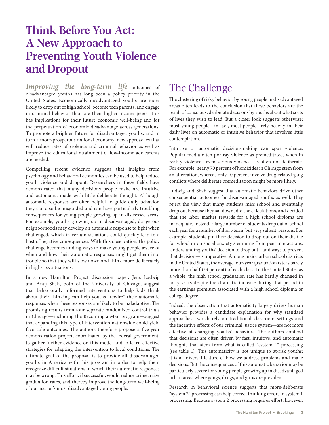# **Think Before You Act: A New Approach to Preventing Youth Violence and Dropout**

*Improving the long-term life* outcomes of disadvantaged youths has long been a policy priority in the United States. Economically disadvantaged youths are more likely to drop out of high school, become teen parents, and engage in criminal behavior than are their higher-income peers. This has implications for their future economic well-being and for the perpetuation of economic disadvantage across generations. To promote a brighter future for disadvantaged youths, and in turn a more-prosperous national economy, new approaches that will reduce rates of violence and criminal behavior as well as improve the educational attainment of low-income adolescents are needed.

Compelling recent evidence suggests that insights from psychology and behavioral economics can be used to help reduce youth violence and dropout. Researchers in these fields have demonstrated that many decisions people make are intuitive and automatic, made with little deliberate thought. Although automatic responses are often helpful to guide daily behavior, they can also be misguided and can have particularly troubling consequences for young people growing up in distressed areas. For example, youths growing up in disadvantaged, dangerous neighborhoods may develop an automatic response to fight when challenged, which in certain situations could quickly lead to a host of negative consequences. With this observation, the policy challenge becomes finding ways to make young people aware of when and how their automatic responses might get them into trouble so that they will slow down and think more deliberately in high-risk situations.

In a new Hamilton Project discussion paper, Jens Ludwig and Anuj Shah, both of the University of Chicago, suggest that behaviorally informed interventions to help kids think about their thinking can help youths "rewire" their automatic responses when these responses are likely to be maladaptive. The promising results from four separate randomized control trials in Chicago—including the Becoming a Man program—suggest that expanding this type of intervention nationwide could yield favorable outcomes. The authors therefore propose a five-year demonstration project, coordinated by the federal government, to gather further evidence on this model and to learn effective strategies for adapting the intervention to local conditions. The ultimate goal of the proposal is to provide all disadvantaged youths in America with this program in order to help them recognize difficult situations in which their automatic responses may be wrong. This effort, if successful, would reduce crime, raise graduation rates, and thereby improve the long-term well-being of our nation's most disadvantaged young people.

## The Challenge

The clustering of risky behavior by young people in disadvantaged areas often leads to the conclusion that these behaviors are the result of conscious, deliberate decisions by youths about what sorts of lives they wish to lead. But a closer look suggests otherwise; most young people—in fact, most people—rely heavily in their daily lives on automatic or intuitive behavior that involves little contemplation.

Intuitive or automatic decision-making can spur violence. Popular media often portray violence as premeditated, when in reality violence—even serious violence—is often not deliberate. For example, nearly 70 percent of homicides in Chicago stem from an altercation, whereas only 10 percent involve drug-related gang conflicts where deliberate premeditation might be more likely.

Ludwig and Shah suggest that automatic behaviors drive other consequential outcomes for disadvantaged youths as well. They reject the view that many students miss school and eventually drop out because they sat down, did the calculations, and decided that the labor market rewards for a high school diploma are inadequate. Instead, a large number of students drop out of school each year for a number of short-term, but very salient, reasons. For example, students pin their decision to drop out on their dislike for school or on social anxiety stemming from peer interactions. Understanding youths' decision to drop out—and ways to prevent that decision—is imperative. Among major urban school districts in the United States, the average four-year graduation rate is barely more than half (53 percent) of each class. In the United States as a whole, the high school graduation rate has hardly changed in forty years despite the dramatic increase during that period in the earnings premium associated with a high school diploma or college degree.

Indeed, the observation that automaticity largely drives human behavior provides a candidate explanation for why standard approaches—which rely on traditional classroom settings and the incentive effects of our criminal justice system—are not more effective at changing youths' behaviors. The authors contend that decisions are often driven by fast, intuitive, and automatic thoughts that stem from what is called "system 1" processing (see table 1). This automaticity is not unique to at-risk youths: it is a universal feature of how we address problems and make decisions. But the consequences of this automatic behavior may be particularly severe for young people growing up in disadvantaged urban areas where gangs, drugs, and guns are prevalent.

Research in behavioral science suggests that more-deliberate "system 2" processing can help correct thinking errors in system 1 processing. Because system 2 processing requires effort, however,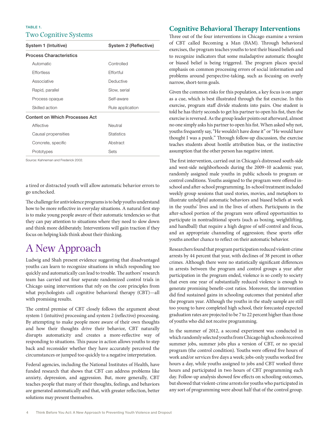#### TABLE 1. Two Cognitive Systems

| System 1 (Intuitive)           | System 2 (Reflective) |
|--------------------------------|-----------------------|
| <b>Process Characteristics</b> |                       |
| Automatic                      | Controlled            |
| Effortless                     | Effortful             |
| Associative                    | Deductive             |
| Rapid, parallel                | Slow, serial          |
| Process opaque                 | Self-aware            |
| Skilled action                 | Rule application      |
| Content on Which Processes Act |                       |
| Affective                      | Neutral               |
| Causal propensities            | <b>Statistics</b>     |
| Concrete, specific             | Abstract              |
| Prototypes                     | Sets                  |

Source: Kahneman and Frederick 2002.

a tired or distracted youth will allow automatic behavior errors to go unchecked.

The challenge for antiviolence programs is to help youths understand how to be more reflective in everyday situations. A natural first step is to make young people aware of their automatic tendencies so that they can pay attention to situations where they need to slow down and think more deliberately. Interventions will gain traction if they focus on helping kids think about their thinking.

## A New Approach

Ludwig and Shah present evidence suggesting that disadvantaged youths can learn to recognize situations in which responding too quickly and automatically can lead to trouble. The authors' research team has carried out four separate randomized control trials in Chicago using interventions that rely on the core principles from what psychologists call cognitive behavioral therapy (CBT)—all with promising results.

The central premise of CBT closely follows the argument about system 1 (intuitive) processing and system 2 (reflective) processing. By attempting to make people more aware of their own thoughts and how their thoughts drive their behavior, CBT naturally disrupts automaticity and creates a more-reflective way of responding to situations. This pause in action allows youths to step back and reconsider whether they have accurately perceived the circumstances or jumped too quickly to a negative interpretation.

Federal agencies, including the National Institutes of Health, have funded research that shows that CBT can address problems like anxiety, depression, and aggression. But, more generally, CBT teaches people that many of their thoughts, feelings, and behaviors are generated automatically and that, with greater reflection, better solutions may present themselves.

#### **Cognitive Behavioral Therapy Interventions**

Three out of the four interventions in Chicago examine a version of CBT called Becoming a Man (BAM). Through behavioral exercises, the program teaches youths to test their biased beliefs and to recognize indicators that some maladaptive automatic thought or biased belief is being triggered. The program places special emphasis on common processing errors of social information and problems around perspective-taking, such as focusing on overly narrow, short-term goals.

Given the common risks for this population, a key focus is on anger as a cue, which is best illustrated through the fist exercise. In this exercise, program staff divide students into pairs. One student is told he has thirty seconds to get his partner to open his fist, then the exercise is reversed. As the group leader points out afterward, almost no one simply asks his partner to open his fist. When asked why not, youths frequently say, "He wouldn't have done it" or "He would have thought I was a punk." Through follow-up discussion, the exercise teaches students about hostile attribution bias, or the instinctive assumption that the other person has negative intent.

The first intervention, carried out in Chicago's distressed south-side and west-side neighborhoods during the 2009–10 academic year, randomly assigned male youths in public schools to program or control conditions. Youths assigned to the program were offered inschool and after-school programming. In-school treatment included weekly group sessions that used stories, movies, and metaphors to illustrate unhelpful automatic behaviors and biased beliefs at work in the youths' lives and in the lives of others. Participants in the after-school portion of the program were offered opportunities to participate in nontraditional sports (such as boxing, weightlifting, and handball) that require a high degree of self-control and focus, and an appropriate channeling of aggression; these sports offer youths another chance to reflect on their automatic behavior.

Researchers found that program participation reduced violent-crime arrests by 44 percent that year, with declines of 38 percent in other crimes. Although there were no statistically significant differences in arrests between the program and control groups a year after participation in the program ended, violence is so costly to society that even one year of substantially reduced violence is enough to generate promising benefit–cost ratios. Moreover, the intervention did find sustained gains in schooling outcomes that persisted after the program year. Although the youths in the study sample are still too young to have completed high school, their forecasted expected graduation rates are projected to be 7 to 22 percent higher than those of youths who did not receive programming.

In the summer of 2012, a second experiment was conducted in which randomly selected youths from Chicago high schools received summer jobs, summer jobs plus a version of CBT, or no special program (the control condition). Youths were offered five hours of work and/or services five days a week; jobs-only youths worked five hours a day, while youths assigned to jobs and CBT worked three hours and participated in two hours of CBT programming each day. Follow-up analysis showed few effects on schooling outcomes, but showed that violent-crime arrests for youths who participated in any sort of programming were about half that of the control group.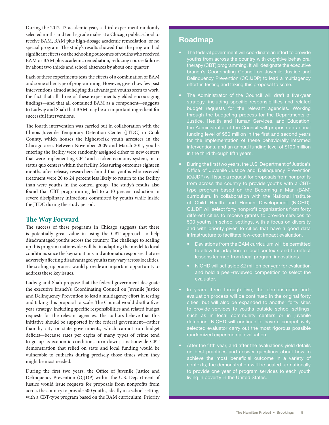During the 2012–13 academic year, a third experiment randomly selected ninth- and tenth-grade males at a Chicago public school to receive BAM, BAM plus high-dosage academic remediation, or no special program. The study's results showed that the program had significant effects on the schooling outcomes of youths who received BAM or BAM plus academic remediation, reducing course failures by about two thirds and school absences by about one quarter.

Each of these experiments tests the effects of a combination of BAM and some other type of programming. However, given how few past interventions aimed at helping disadvantaged youths seem to work, the fact that all three of these experiments yielded encouraging findings—and that all contained BAM as a component—suggests to Ludwig and Shah that BAM may be an important ingredient for successful interventions.

The fourth intervention was carried out in collaboration with the Illinois Juvenile Temporary Detention Center (JTDC) in Cook County, which houses the highest-risk youth arrestees in the Chicago area. Between November 2009 and March 2011, youths entering the facility were randomly assigned either to new centers that were implementing CBT and a token economy system, or to status quo centers within the facility. Measuring outcomes eighteen months after release, researchers found that youths who received treatment were 20 to 24 percent less likely to return to the facility than were youths in the control group. The study's results also found that CBT programming led to a 10 percent reduction in severe disciplinary infractions committed by youths while inside the JTDC during the study period.

#### **The Way Forward**

The success of these programs in Chicago suggests that there is potentially great value in using the CBT approach to help disadvantaged youths across the country. The challenge to scaling up this program nationwide will be in adapting the model to local conditions since the key situations and automatic responses that are adversely affecting disadvantaged youths may vary across localities. The scaling-up process would provide an important opportunity to address these key issues.

Ludwig and Shah propose that the federal government designate the executive branch's Coordinating Council on Juvenile Justice and Delinquency Prevention to lead a multiagency effort in testing and taking this proposal to scale. The Council would draft a fiveyear strategy, including specific responsibilities and related budget requests for the relevant agencies. The authors believe that this initiative should be supported by the federal government—rather than by city or state governments, which cannot run budget deficits—because rates per capita of many types of crime tend to go up as economic conditions turn down; a nationwide CBT demonstration that relied on state and local funding would be vulnerable to cutbacks during precisely those times when they might be most needed.

During the first two years, the Office of Juvenile Justice and Delinquency Prevention (OJJDP) within the U.S. Department of Justice would issue requests for proposals from nonprofits from across the country to provide 500 youths, ideally in a school setting, with a CBT-type program based on the BAM curriculum. Priority

### Roadmap

- The federal government will coordinate an effort to provide youths from across the country with cognitive behavioral therapy (CBT) programming. It will designate the executive branch's Coordinating Council on Juvenile Justice and Delinquency Prevention (CCJJDP) to lead a multiagency effort in testing and taking this proposal to scale.
- The Administrator of the Council will draft a five-year strategy, including specific responsibilities and related budget requests for the relevant agencies. Working through the budgeting process for the Departments of the Administrator of the Council will propose an annual funding level of \$50 million in the first and second years for the implementation of these behaviorally informed interventions, and an annual funding level of \$100 million in the third through fifth years.
- During the first two years, the U.S. Department of Justice's Office of Juvenile Justice and Delinquency Prevention (OJJDP) will issue a request for proposals from nonprofits type program based on the Becoming a Man (BAM) of Child Health and Human Development (NICHD), OJJDP will select forty nonprofit organizations from forty different cities to receive grants to provide services to 500 youths in school settings, with a focus on diversity and with priority given to cities that have a good data
	- Deviations from the BAM curriculum will be permitted to allow for adaption to local contexts and to reflect lessons learned from local program innovations.
	- NICHD will set aside \$2 million per year for evaluation evaluator.
- In years three through five, the demonstration-andevaluation process will be continued in the original forty cities, but will also be expanded to another forty sites to provide services to youths outside school settings, detention. NICHD will continue to have a competitively selected evaluator carry out the most rigorous possible randomized experimental evaluation.
- on best practices and answer questions about how to achieve the most beneficial outcome in a variety of to provide one year of program services to each youth living in poverty in the United States.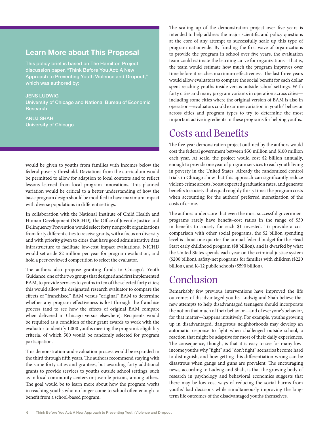### Learn More about This Proposal

This policy brief is based on The Hamilton Project discussion paper, "Think Before You Act: A New Approach to Preventing Youth Violence and Dropout," which was authored by:

JENS LUDWIG University of Chicago and National Bureau of Economic Research

ANUJ SHAH University of Chicago

would be given to youths from families with incomes below the federal poverty threshold. Deviations from the curriculum would be permitted to allow for adaption to local contexts and to reflect lessons learned from local program innovations. This planned variation would be critical to a better understanding of how the basic program design should be modified to have maximum impact with diverse populations in different settings.

In collaboration with the National Institute of Child Health and Human Development (NICHD), the Office of Juvenile Justice and Delinquency Prevention would select forty nonprofit organizations from forty different cities to receive grants, with a focus on diversity and with priority given to cities that have good administrative data infrastructure to facilitate low-cost impact evaluations. NICHD would set aside \$2 million per year for program evaluation, and hold a peer-reviewed competition to select the evaluator.

The authors also propose granting funds to Chicago's Youth Guidance, one of the two groups that designed and first implemented BAM, to provide services to youths in ten of the selected forty cities; this would allow the designated research evaluator to compare the effects of "franchised" BAM versus "original" BAM to determine whether any program effectiveness is lost through the franchise process (and to see how the effects of original BAM compare when delivered in Chicago versus elsewhere). Recipients would be required as a condition of their grant awards to work with the evaluator to identify 1,000 youths meeting the program's eligibility criteria, of which 500 would be randomly selected for program participation.

This demonstration-and-evaluation process would be expanded in the third through fifth years. The authors recommend staying with the same forty cities and grantees, but awarding forty additional grants to provide services to youths outside school settings, such as in local community centers or juvenile prisons, among others. The goal would be to learn more about how the program works in reaching youths who no longer come to school often enough to benefit from a school-based program.

The scaling up of the demonstration project over five years is intended to help address the major scientific and policy questions at the core of any attempt to successfully scale up this type of program nationwide. By funding the first wave of organizations to provide the program in school over five years, the evaluation team could estimate the learning curve for organizations—that is, the team would estimate how much the program improves over time before it reaches maximum effectiveness. The last three years would allow evaluators to compare the social benefit for each dollar spent reaching youths inside versus outside school settings. With forty cities and many program variants in operation across cities including some cities where the original version of BAM is also in operation—evaluators could examine variation in youths' behavior across cities and program types to try to determine the most important active ingredients in these programs for helping youths.

## Costs and Benefits

The five-year demonstration project outlined by the authors would cost the federal government between \$50 million and \$100 million each year. At scale, the project would cost \$2 billion annually, enough to provide one year of program services to each youth living in poverty in the United States. Already the randomized control trials in Chicago show that this approach can significantly reduce violent-crime arrests, boost expected graduation rates, and generate benefits to society that equal roughly thirty times the program costs when accounting for the authors' preferred monetization of the costs of crime.

The authors underscore that even the most successful government programs rarely have benefit–cost ratios in the range of \$30 in benefits to society for each \$1 invested. To provide a cost comparison with other social programs, the \$2 billion spending level is about one quarter the annual federal budget for the Head Start early childhood program (\$8 billion), and is dwarfed by what the United States spends each year on the criminal justice system (\$200 billion), safety-net programs for families with children (\$220 billion), and K–12 public schools (\$590 billion).

## Conclusion

Remarkably few previous interventions have improved the life outcomes of disadvantaged youths. Ludwig and Shah believe that new attempts to help disadvantaged teenagers should incorporate the notion that much of their behavior—and of everyone's behavior, for that matter—happens intuitively. For example, youths growing up in disadvantaged, dangerous neighborhoods may develop an automatic response to fight when challenged outside school, a reaction that might be adaptive for most of their daily experiences. The consequence, though, is that it is easy to see for many lowincome youths why "fight" and "don't fight" scenarios become hard to distinguish, and how getting this differentiation wrong can be disastrous when gangs and guns are prevalent. The encouraging news, according to Ludwig and Shah, is that the growing body of research in psychology and behavioral economics suggests that there may be low-cost ways of reducing the social harms from youths' bad decisions while simultaneously improving the longterm life outcomes of the disadvantaged youths themselves.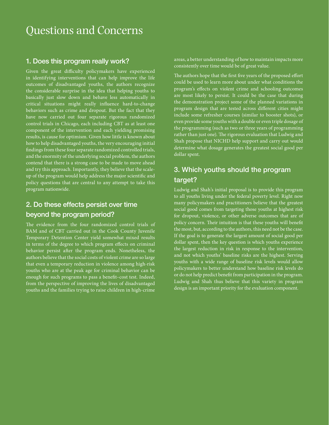# Questions and Concerns

#### 1. Does this program really work?

Given the great difficulty policymakers have experienced in identifying interventions that can help improve the life outcomes of disadvantaged youths, the authors recognize the considerable surprise in the idea that helping youths to basically just slow down and behave less automatically in critical situations might really influence hard-to-change behaviors such as crime and dropout. But the fact that they have now carried out four separate rigorous randomized control trials in Chicago, each including CBT as at least one component of the intervention and each yielding promising results, is cause for optimism. Given how little is known about how to help disadvantaged youths, the very encouraging initial findings from these four separate randomized controlled trials, and the enormity of the underlying social problem, the authors contend that there is a strong case to be made to move ahead and try this approach. Importantly, they believe that the scaleup of the program would help address the major scientific and policy questions that are central to any attempt to take this program nationwide.

### 2. Do these effects persist over time beyond the program period?

The evidence from the four randomized control trials of BAM and of CBT carried out in the Cook County Juvenile Temporary Detention Center yield somewhat mixed results in terms of the degree to which program effects on criminal behavior persist after the program ends. Nonetheless, the authors believe that the social costs of violent crime are so large that even a temporary reduction in violence among high-risk youths who are at the peak age for criminal behavior can be enough for such programs to pass a benefit–cost test. Indeed, from the perspective of improving the lives of disadvantaged youths and the families trying to raise children in high-crime

areas, a better understanding of how to maintain impacts more consistently over time would be of great value.

The authors hope that the first five years of the proposed effort could be used to learn more about under what conditions the program's effects on violent crime and schooling outcomes are most likely to persist. It could be the case that during the demonstration project some of the planned variations in program design that are tested across different cities might include some refresher courses (similar to booster shots), or even provide some youths with a double or even triple dosage of the programming (such as two or three years of programming rather than just one). The rigorous evaluation that Ludwig and Shah propose that NICHD help support and carry out would determine what dosage generates the greatest social good per dollar spent.

## 3. Which youths should the program target?

Ludwig and Shah's initial proposal is to provide this program to all youths living under the federal poverty level. Right now many policymakers and practitioners believe that the greatest social good comes from targeting those youths at highest risk for dropout, violence, or other adverse outcomes that are of policy concern. Their intuition is that these youths will benefit the most, but, according to the authors, this need not be the case. If the goal is to generate the largest amount of social good per dollar spent, then the key question is which youths experience the largest reduction in risk in response to the intervention, and not which youths' baseline risks are the highest. Serving youths with a wide range of baseline risk levels would allow policymakers to better understand how baseline risk levels do or do not help predict benefit from participation in the program. Ludwig and Shah thus believe that this variety in program design is an important priority for the evaluation component.